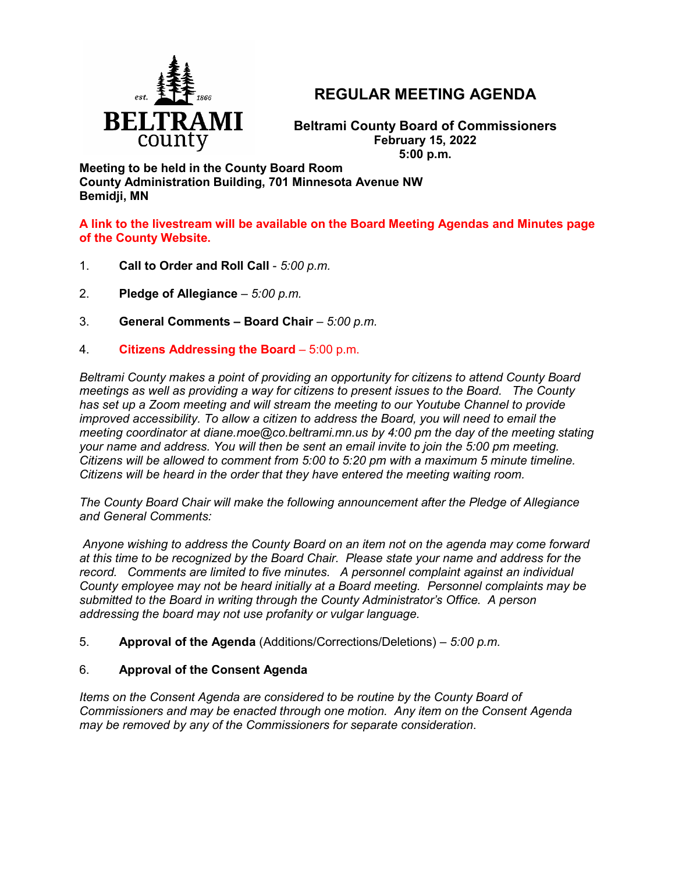

# **REGULAR MEETING AGENDA**

**Beltrami County Board of Commissioners February 15, 2022 5:00 p.m.**

**Meeting to be held in the County Board Room County Administration Building, 701 Minnesota Avenue NW Bemidji, MN**

**A link to the livestream will be available on the Board Meeting Agendas and Minutes page of the County Website.**

- 1. **Call to Order and Roll Call** *5:00 p.m.*
- 2. **Pledge of Allegiance**  *5:00 p.m.*
- 3. **General Comments – Board Chair** *5:00 p.m.*
- 4. **Citizens Addressing the Board**  5:00 p.m.

*Beltrami County makes a point of providing an opportunity for citizens to attend County Board meetings as well as providing a way for citizens to present issues to the Board. The County has set up a Zoom meeting and will stream the meeting to our Youtube Channel to provide improved accessibility. To allow a citizen to address the Board, you will need to email the meeting coordinator at diane.moe@co.beltrami.mn.us by 4:00 pm the day of the meeting stating your name and address. You will then be sent an email invite to join the 5:00 pm meeting. Citizens will be allowed to comment from 5:00 to 5:20 pm with a maximum 5 minute timeline. Citizens will be heard in the order that they have entered the meeting waiting room.* 

*The County Board Chair will make the following announcement after the Pledge of Allegiance and General Comments:*

*Anyone wishing to address the County Board on an item not on the agenda may come forward at this time to be recognized by the Board Chair. Please state your name and address for the record. Comments are limited to five minutes. A personnel complaint against an individual County employee may not be heard initially at a Board meeting. Personnel complaints may be submitted to the Board in writing through the County Administrator's Office. A person addressing the board may not use profanity or vulgar language.*

5. **Approval of the Agenda** (Additions/Corrections/Deletions) – *5:00 p.m.*

## 6. **Approval of the Consent Agenda**

*Items on the Consent Agenda are considered to be routine by the County Board of Commissioners and may be enacted through one motion. Any item on the Consent Agenda may be removed by any of the Commissioners for separate consideration*.